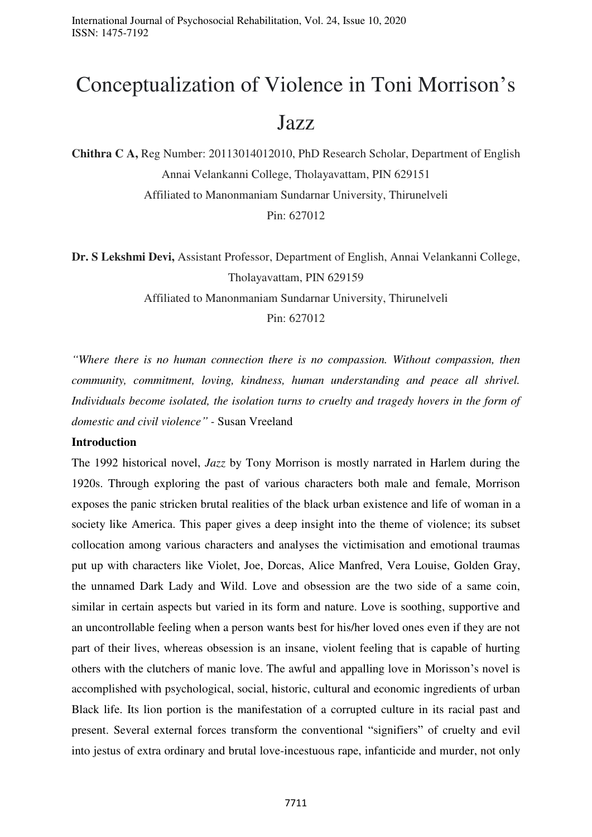# Conceptualization of Violence in Toni Morrison's Jazz

**Chithra C A,** Reg Number: 20113014012010, PhD Research Scholar, Department of English Annai Velankanni College, Tholayavattam, PIN 629151 Affiliated to Manonmaniam Sundarnar University, Thirunelveli Pin: 627012

**Dr. S Lekshmi Devi,** Assistant Professor, Department of English, Annai Velankanni College, Tholayavattam, PIN 629159

Affiliated to Manonmaniam Sundarnar University, Thirunelveli

Pin: 627012

*"Where there is no human connection there is no compassion. Without compassion, then community, commitment, loving, kindness, human understanding and peace all shrivel. Individuals become isolated, the isolation turns to cruelty and tragedy hovers in the form of domestic and civil violence" -* Susan Vreeland

## **Introduction**

The 1992 historical novel, *Jazz* by Tony Morrison is mostly narrated in Harlem during the 1920s. Through exploring the past of various characters both male and female, Morrison exposes the panic stricken brutal realities of the black urban existence and life of woman in a society like America. This paper gives a deep insight into the theme of violence; its subset collocation among various characters and analyses the victimisation and emotional traumas put up with characters like Violet, Joe, Dorcas, Alice Manfred, Vera Louise, Golden Gray, the unnamed Dark Lady and Wild. Love and obsession are the two side of a same coin, similar in certain aspects but varied in its form and nature. Love is soothing, supportive and an uncontrollable feeling when a person wants best for his/her loved ones even if they are not part of their lives, whereas obsession is an insane, violent feeling that is capable of hurting others with the clutchers of manic love. The awful and appalling love in Morisson's novel is accomplished with psychological, social, historic, cultural and economic ingredients of urban Black life. Its lion portion is the manifestation of a corrupted culture in its racial past and present. Several external forces transform the conventional "signifiers" of cruelty and evil into jestus of extra ordinary and brutal love-incestuous rape, infanticide and murder, not only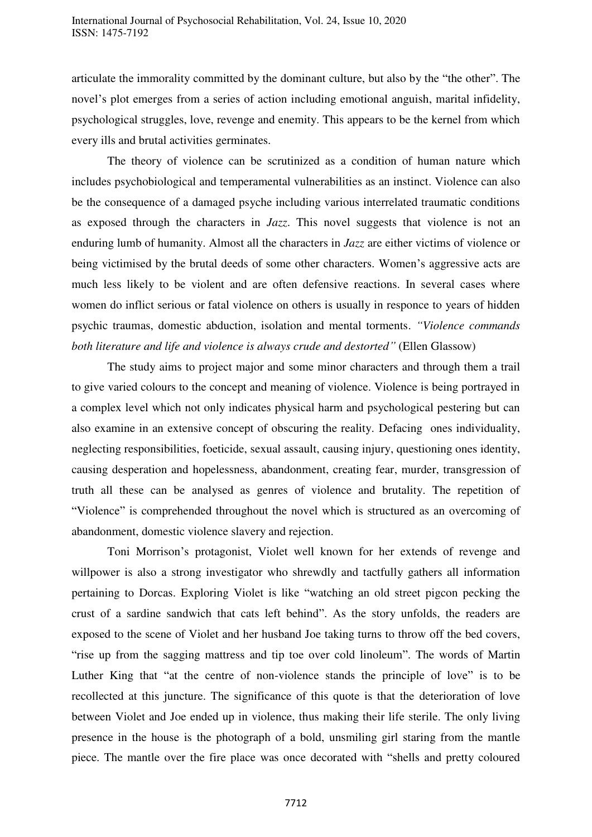articulate the immorality committed by the dominant culture, but also by the "the other". The novel's plot emerges from a series of action including emotional anguish, marital infidelity, psychological struggles, love, revenge and enemity. This appears to be the kernel from which every ills and brutal activities germinates.

 The theory of violence can be scrutinized as a condition of human nature which includes psychobiological and temperamental vulnerabilities as an instinct. Violence can also be the consequence of a damaged psyche including various interrelated traumatic conditions as exposed through the characters in *Jazz*. This novel suggests that violence is not an enduring lumb of humanity. Almost all the characters in *Jazz* are either victims of violence or being victimised by the brutal deeds of some other characters. Women's aggressive acts are much less likely to be violent and are often defensive reactions. In several cases where women do inflict serious or fatal violence on others is usually in responce to years of hidden psychic traumas, domestic abduction, isolation and mental torments. *"Violence commands both literature and life and violence is always crude and destorted"* (Ellen Glassow)

 The study aims to project major and some minor characters and through them a trail to give varied colours to the concept and meaning of violence. Violence is being portrayed in a complex level which not only indicates physical harm and psychological pestering but can also examine in an extensive concept of obscuring the reality. Defacing ones individuality, neglecting responsibilities, foeticide, sexual assault, causing injury, questioning ones identity, causing desperation and hopelessness, abandonment, creating fear, murder, transgression of truth all these can be analysed as genres of violence and brutality. The repetition of "Violence" is comprehended throughout the novel which is structured as an overcoming of abandonment, domestic violence slavery and rejection.

 Toni Morrison's protagonist, Violet well known for her extends of revenge and willpower is also a strong investigator who shrewdly and tactfully gathers all information pertaining to Dorcas. Exploring Violet is like "watching an old street pigcon pecking the crust of a sardine sandwich that cats left behind". As the story unfolds, the readers are exposed to the scene of Violet and her husband Joe taking turns to throw off the bed covers, "rise up from the sagging mattress and tip toe over cold linoleum". The words of Martin Luther King that "at the centre of non-violence stands the principle of love" is to be recollected at this juncture. The significance of this quote is that the deterioration of love between Violet and Joe ended up in violence, thus making their life sterile. The only living presence in the house is the photograph of a bold, unsmiling girl staring from the mantle piece. The mantle over the fire place was once decorated with "shells and pretty coloured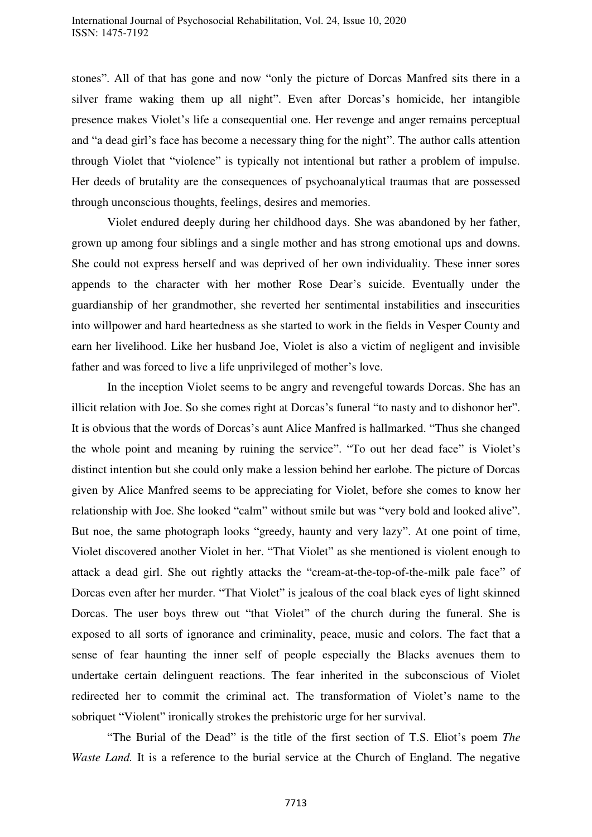stones". All of that has gone and now "only the picture of Dorcas Manfred sits there in a silver frame waking them up all night". Even after Dorcas's homicide, her intangible presence makes Violet's life a consequential one. Her revenge and anger remains perceptual and "a dead girl's face has become a necessary thing for the night". The author calls attention through Violet that "violence" is typically not intentional but rather a problem of impulse. Her deeds of brutality are the consequences of psychoanalytical traumas that are possessed through unconscious thoughts, feelings, desires and memories.

 Violet endured deeply during her childhood days. She was abandoned by her father, grown up among four siblings and a single mother and has strong emotional ups and downs. She could not express herself and was deprived of her own individuality. These inner sores appends to the character with her mother Rose Dear's suicide. Eventually under the guardianship of her grandmother, she reverted her sentimental instabilities and insecurities into willpower and hard heartedness as she started to work in the fields in Vesper County and earn her livelihood. Like her husband Joe, Violet is also a victim of negligent and invisible father and was forced to live a life unprivileged of mother's love.

In the inception Violet seems to be angry and revengeful towards Dorcas. She has an illicit relation with Joe. So she comes right at Dorcas's funeral "to nasty and to dishonor her". It is obvious that the words of Dorcas's aunt Alice Manfred is hallmarked. "Thus she changed the whole point and meaning by ruining the service". "To out her dead face" is Violet's distinct intention but she could only make a lession behind her earlobe. The picture of Dorcas given by Alice Manfred seems to be appreciating for Violet, before she comes to know her relationship with Joe. She looked "calm" without smile but was "very bold and looked alive". But noe, the same photograph looks "greedy, haunty and very lazy". At one point of time, Violet discovered another Violet in her. "That Violet" as she mentioned is violent enough to attack a dead girl. She out rightly attacks the "cream-at-the-top-of-the-milk pale face" of Dorcas even after her murder. "That Violet" is jealous of the coal black eyes of light skinned Dorcas. The user boys threw out "that Violet" of the church during the funeral. She is exposed to all sorts of ignorance and criminality, peace, music and colors. The fact that a sense of fear haunting the inner self of people especially the Blacks avenues them to undertake certain delinguent reactions. The fear inherited in the subconscious of Violet redirected her to commit the criminal act. The transformation of Violet's name to the sobriquet "Violent" ironically strokes the prehistoric urge for her survival.

"The Burial of the Dead" is the title of the first section of T.S. Eliot's poem *The Waste Land.* It is a reference to the burial service at the Church of England. The negative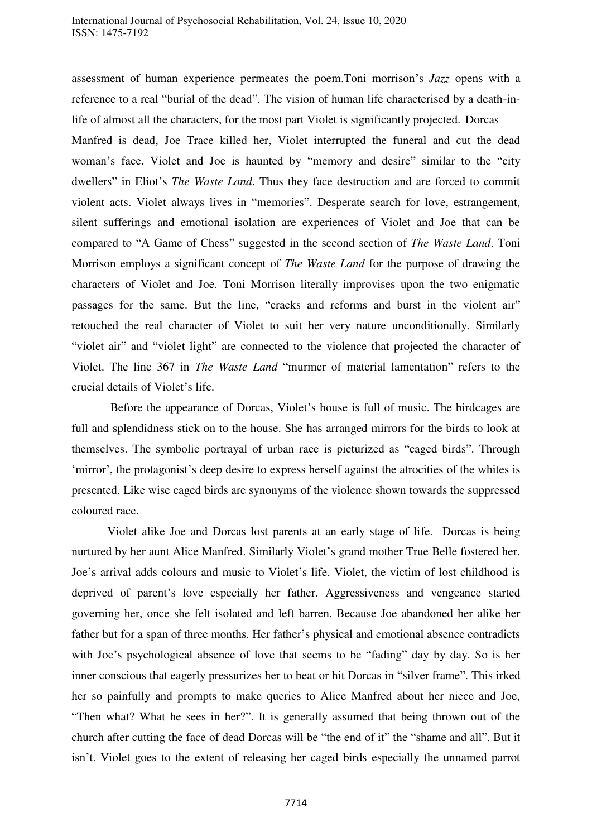assessment of human experience permeates the poem.Toni morrison's *Jazz* opens with a reference to a real "burial of the dead". The vision of human life characterised by a death-inlife of almost all the characters, for the most part Violet is significantly projected. Dorcas Manfred is dead, Joe Trace killed her, Violet interrupted the funeral and cut the dead woman's face. Violet and Joe is haunted by "memory and desire" similar to the "city dwellers" in Eliot's *The Waste Land*. Thus they face destruction and are forced to commit violent acts. Violet always lives in "memories". Desperate search for love, estrangement, silent sufferings and emotional isolation are experiences of Violet and Joe that can be compared to "A Game of Chess" suggested in the second section of *The Waste Land*. Toni Morrison employs a significant concept of *The Waste Land* for the purpose of drawing the characters of Violet and Joe. Toni Morrison literally improvises upon the two enigmatic passages for the same. But the line, "cracks and reforms and burst in the violent air" retouched the real character of Violet to suit her very nature unconditionally. Similarly "violet air" and "violet light" are connected to the violence that projected the character of Violet. The line 367 in *The Waste Land* "murmer of material lamentation" refers to the crucial details of Violet's life.

 Before the appearance of Dorcas, Violet's house is full of music. The birdcages are full and splendidness stick on to the house. She has arranged mirrors for the birds to look at themselves. The symbolic portrayal of urban race is picturized as "caged birds". Through 'mirror', the protagonist's deep desire to express herself against the atrocities of the whites is presented. Like wise caged birds are synonyms of the violence shown towards the suppressed coloured race.

 Violet alike Joe and Dorcas lost parents at an early stage of life. Dorcas is being nurtured by her aunt Alice Manfred. Similarly Violet's grand mother True Belle fostered her. Joe's arrival adds colours and music to Violet's life. Violet, the victim of lost childhood is deprived of parent's love especially her father. Aggressiveness and vengeance started governing her, once she felt isolated and left barren. Because Joe abandoned her alike her father but for a span of three months. Her father's physical and emotional absence contradicts with Joe's psychological absence of love that seems to be "fading" day by day. So is her inner conscious that eagerly pressurizes her to beat or hit Dorcas in "silver frame". This irked her so painfully and prompts to make queries to Alice Manfred about her niece and Joe, "Then what? What he sees in her?". It is generally assumed that being thrown out of the church after cutting the face of dead Dorcas will be "the end of it" the "shame and all". But it isn't. Violet goes to the extent of releasing her caged birds especially the unnamed parrot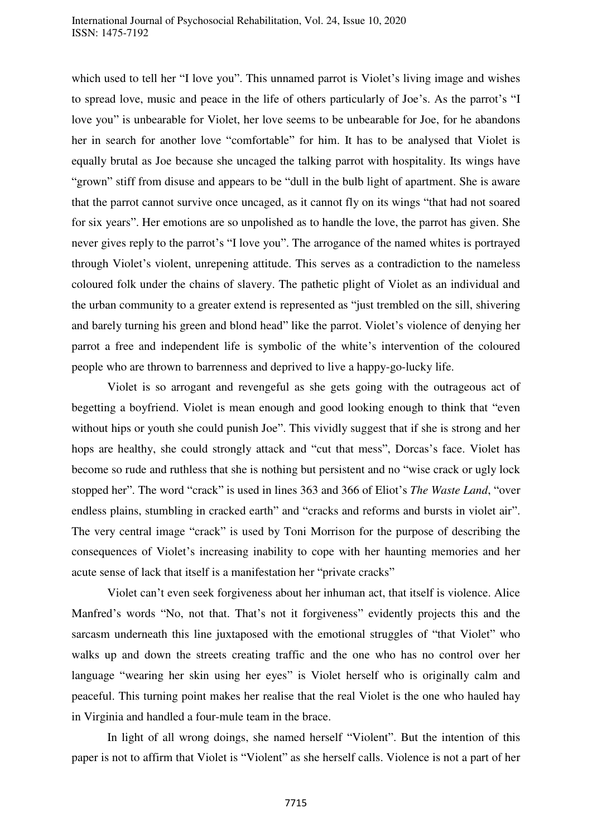which used to tell her "I love you". This unnamed parrot is Violet's living image and wishes to spread love, music and peace in the life of others particularly of Joe's. As the parrot's "I love you" is unbearable for Violet, her love seems to be unbearable for Joe, for he abandons her in search for another love "comfortable" for him. It has to be analysed that Violet is equally brutal as Joe because she uncaged the talking parrot with hospitality. Its wings have "grown" stiff from disuse and appears to be "dull in the bulb light of apartment. She is aware that the parrot cannot survive once uncaged, as it cannot fly on its wings "that had not soared for six years". Her emotions are so unpolished as to handle the love, the parrot has given. She never gives reply to the parrot's "I love you". The arrogance of the named whites is portrayed through Violet's violent, unrepening attitude. This serves as a contradiction to the nameless coloured folk under the chains of slavery. The pathetic plight of Violet as an individual and the urban community to a greater extend is represented as "just trembled on the sill, shivering and barely turning his green and blond head" like the parrot. Violet's violence of denying her parrot a free and independent life is symbolic of the white's intervention of the coloured people who are thrown to barrenness and deprived to live a happy-go-lucky life.

 Violet is so arrogant and revengeful as she gets going with the outrageous act of begetting a boyfriend. Violet is mean enough and good looking enough to think that "even without hips or youth she could punish Joe". This vividly suggest that if she is strong and her hops are healthy, she could strongly attack and "cut that mess", Dorcas's face. Violet has become so rude and ruthless that she is nothing but persistent and no "wise crack or ugly lock stopped her". The word "crack" is used in lines 363 and 366 of Eliot's *The Waste Land*, "over endless plains, stumbling in cracked earth" and "cracks and reforms and bursts in violet air". The very central image "crack" is used by Toni Morrison for the purpose of describing the consequences of Violet's increasing inability to cope with her haunting memories and her acute sense of lack that itself is a manifestation her "private cracks"

 Violet can't even seek forgiveness about her inhuman act, that itself is violence. Alice Manfred's words "No, not that. That's not it forgiveness" evidently projects this and the sarcasm underneath this line juxtaposed with the emotional struggles of "that Violet" who walks up and down the streets creating traffic and the one who has no control over her language "wearing her skin using her eyes" is Violet herself who is originally calm and peaceful. This turning point makes her realise that the real Violet is the one who hauled hay in Virginia and handled a four-mule team in the brace.

 In light of all wrong doings, she named herself "Violent". But the intention of this paper is not to affirm that Violet is "Violent" as she herself calls. Violence is not a part of her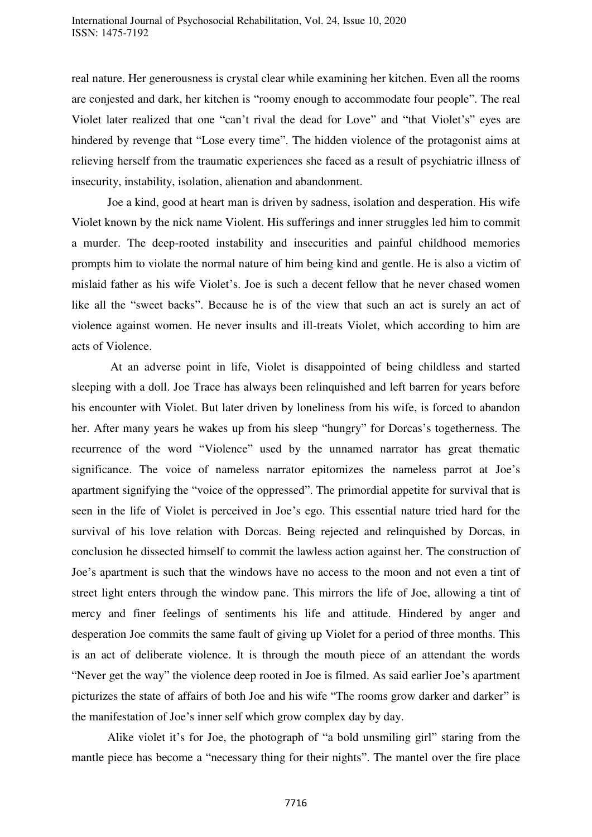real nature. Her generousness is crystal clear while examining her kitchen. Even all the rooms are conjested and dark, her kitchen is "roomy enough to accommodate four people". The real Violet later realized that one "can't rival the dead for Love" and "that Violet's" eyes are hindered by revenge that "Lose every time". The hidden violence of the protagonist aims at relieving herself from the traumatic experiences she faced as a result of psychiatric illness of insecurity, instability, isolation, alienation and abandonment.

 Joe a kind, good at heart man is driven by sadness, isolation and desperation. His wife Violet known by the nick name Violent. His sufferings and inner struggles led him to commit a murder. The deep-rooted instability and insecurities and painful childhood memories prompts him to violate the normal nature of him being kind and gentle. He is also a victim of mislaid father as his wife Violet's. Joe is such a decent fellow that he never chased women like all the "sweet backs". Because he is of the view that such an act is surely an act of violence against women. He never insults and ill-treats Violet, which according to him are acts of Violence.

 At an adverse point in life, Violet is disappointed of being childless and started sleeping with a doll. Joe Trace has always been relinquished and left barren for years before his encounter with Violet. But later driven by loneliness from his wife, is forced to abandon her. After many years he wakes up from his sleep "hungry" for Dorcas's togetherness. The recurrence of the word "Violence" used by the unnamed narrator has great thematic significance. The voice of nameless narrator epitomizes the nameless parrot at Joe's apartment signifying the "voice of the oppressed". The primordial appetite for survival that is seen in the life of Violet is perceived in Joe's ego. This essential nature tried hard for the survival of his love relation with Dorcas. Being rejected and relinquished by Dorcas, in conclusion he dissected himself to commit the lawless action against her. The construction of Joe's apartment is such that the windows have no access to the moon and not even a tint of street light enters through the window pane. This mirrors the life of Joe, allowing a tint of mercy and finer feelings of sentiments his life and attitude. Hindered by anger and desperation Joe commits the same fault of giving up Violet for a period of three months. This is an act of deliberate violence. It is through the mouth piece of an attendant the words "Never get the way" the violence deep rooted in Joe is filmed. As said earlier Joe's apartment picturizes the state of affairs of both Joe and his wife "The rooms grow darker and darker" is the manifestation of Joe's inner self which grow complex day by day.

 Alike violet it's for Joe, the photograph of "a bold unsmiling girl" staring from the mantle piece has become a "necessary thing for their nights". The mantel over the fire place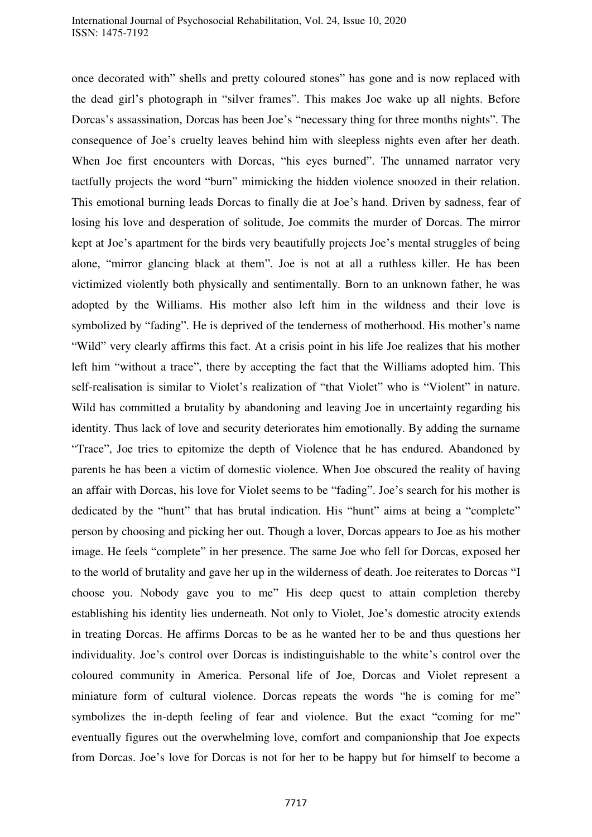once decorated with" shells and pretty coloured stones" has gone and is now replaced with the dead girl's photograph in "silver frames". This makes Joe wake up all nights. Before Dorcas's assassination, Dorcas has been Joe's "necessary thing for three months nights". The consequence of Joe's cruelty leaves behind him with sleepless nights even after her death. When Joe first encounters with Dorcas, "his eyes burned". The unnamed narrator very tactfully projects the word "burn" mimicking the hidden violence snoozed in their relation. This emotional burning leads Dorcas to finally die at Joe's hand. Driven by sadness, fear of losing his love and desperation of solitude, Joe commits the murder of Dorcas. The mirror kept at Joe's apartment for the birds very beautifully projects Joe's mental struggles of being alone, "mirror glancing black at them". Joe is not at all a ruthless killer. He has been victimized violently both physically and sentimentally. Born to an unknown father, he was adopted by the Williams. His mother also left him in the wildness and their love is symbolized by "fading". He is deprived of the tenderness of motherhood. His mother's name "Wild" very clearly affirms this fact. At a crisis point in his life Joe realizes that his mother left him "without a trace", there by accepting the fact that the Williams adopted him. This self-realisation is similar to Violet's realization of "that Violet" who is "Violent" in nature. Wild has committed a brutality by abandoning and leaving Joe in uncertainty regarding his identity. Thus lack of love and security deteriorates him emotionally. By adding the surname "Trace", Joe tries to epitomize the depth of Violence that he has endured. Abandoned by parents he has been a victim of domestic violence. When Joe obscured the reality of having an affair with Dorcas, his love for Violet seems to be "fading". Joe's search for his mother is dedicated by the "hunt" that has brutal indication. His "hunt" aims at being a "complete" person by choosing and picking her out. Though a lover, Dorcas appears to Joe as his mother image. He feels "complete" in her presence. The same Joe who fell for Dorcas, exposed her to the world of brutality and gave her up in the wilderness of death. Joe reiterates to Dorcas "I choose you. Nobody gave you to me" His deep quest to attain completion thereby establishing his identity lies underneath. Not only to Violet, Joe's domestic atrocity extends in treating Dorcas. He affirms Dorcas to be as he wanted her to be and thus questions her individuality. Joe's control over Dorcas is indistinguishable to the white's control over the coloured community in America. Personal life of Joe, Dorcas and Violet represent a miniature form of cultural violence. Dorcas repeats the words "he is coming for me" symbolizes the in-depth feeling of fear and violence. But the exact "coming for me" eventually figures out the overwhelming love, comfort and companionship that Joe expects from Dorcas. Joe's love for Dorcas is not for her to be happy but for himself to become a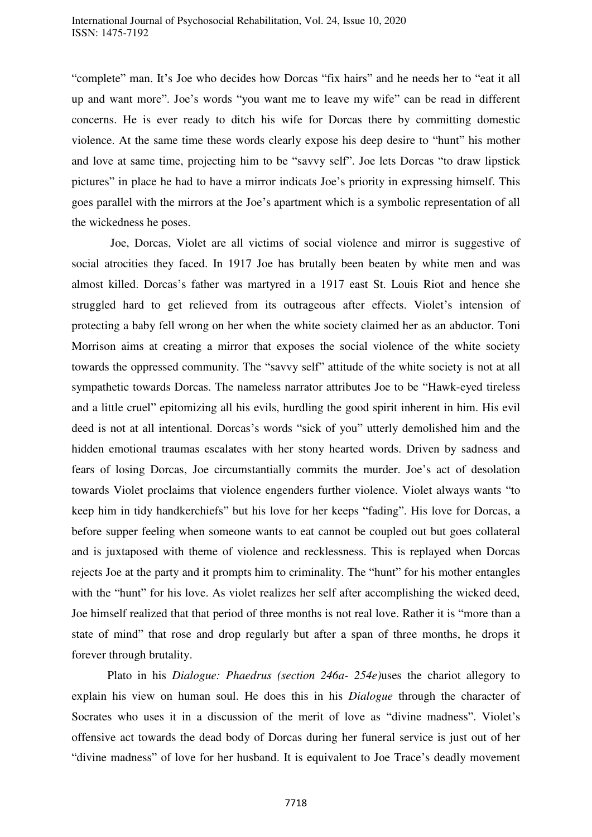"complete" man. It's Joe who decides how Dorcas "fix hairs" and he needs her to "eat it all up and want more". Joe's words "you want me to leave my wife" can be read in different concerns. He is ever ready to ditch his wife for Dorcas there by committing domestic violence. At the same time these words clearly expose his deep desire to "hunt" his mother and love at same time, projecting him to be "savvy self". Joe lets Dorcas "to draw lipstick pictures" in place he had to have a mirror indicats Joe's priority in expressing himself. This goes parallel with the mirrors at the Joe's apartment which is a symbolic representation of all the wickedness he poses.

 Joe, Dorcas, Violet are all victims of social violence and mirror is suggestive of social atrocities they faced. In 1917 Joe has brutally been beaten by white men and was almost killed. Dorcas's father was martyred in a 1917 east St. Louis Riot and hence she struggled hard to get relieved from its outrageous after effects. Violet's intension of protecting a baby fell wrong on her when the white society claimed her as an abductor. Toni Morrison aims at creating a mirror that exposes the social violence of the white society towards the oppressed community. The "savvy self" attitude of the white society is not at all sympathetic towards Dorcas. The nameless narrator attributes Joe to be "Hawk-eyed tireless and a little cruel" epitomizing all his evils, hurdling the good spirit inherent in him. His evil deed is not at all intentional. Dorcas's words "sick of you" utterly demolished him and the hidden emotional traumas escalates with her stony hearted words. Driven by sadness and fears of losing Dorcas, Joe circumstantially commits the murder. Joe's act of desolation towards Violet proclaims that violence engenders further violence. Violet always wants "to keep him in tidy handkerchiefs" but his love for her keeps "fading". His love for Dorcas, a before supper feeling when someone wants to eat cannot be coupled out but goes collateral and is juxtaposed with theme of violence and recklessness. This is replayed when Dorcas rejects Joe at the party and it prompts him to criminality. The "hunt" for his mother entangles with the "hunt" for his love. As violet realizes her self after accomplishing the wicked deed, Joe himself realized that that period of three months is not real love. Rather it is "more than a state of mind" that rose and drop regularly but after a span of three months, he drops it forever through brutality.

 Plato in his *Dialogue: Phaedrus (section 246a- 254e)*uses the chariot allegory to explain his view on human soul. He does this in his *Dialogue* through the character of Socrates who uses it in a discussion of the merit of love as "divine madness". Violet's offensive act towards the dead body of Dorcas during her funeral service is just out of her "divine madness" of love for her husband. It is equivalent to Joe Trace's deadly movement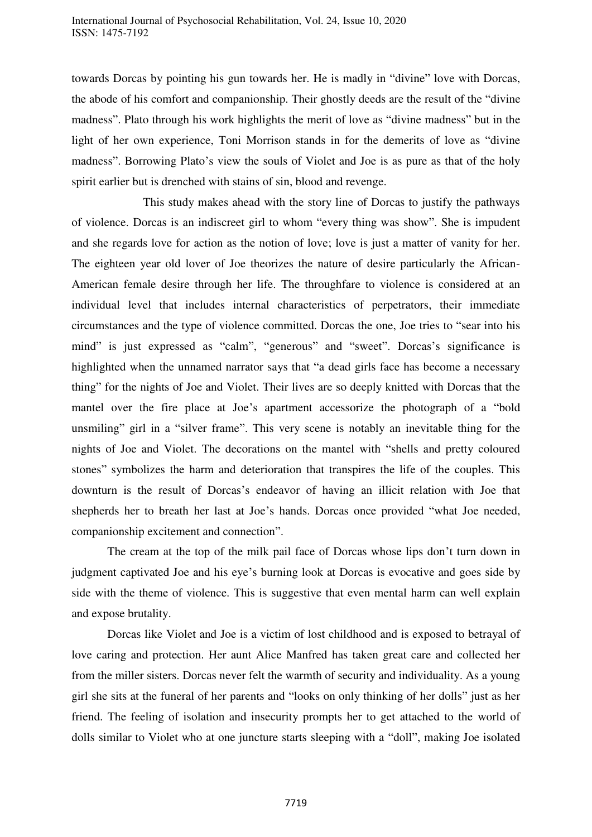towards Dorcas by pointing his gun towards her. He is madly in "divine" love with Dorcas, the abode of his comfort and companionship. Their ghostly deeds are the result of the "divine madness". Plato through his work highlights the merit of love as "divine madness" but in the light of her own experience, Toni Morrison stands in for the demerits of love as "divine madness". Borrowing Plato's view the souls of Violet and Joe is as pure as that of the holy spirit earlier but is drenched with stains of sin, blood and revenge.

 This study makes ahead with the story line of Dorcas to justify the pathways of violence. Dorcas is an indiscreet girl to whom "every thing was show". She is impudent and she regards love for action as the notion of love; love is just a matter of vanity for her. The eighteen year old lover of Joe theorizes the nature of desire particularly the African-American female desire through her life. The throughfare to violence is considered at an individual level that includes internal characteristics of perpetrators, their immediate circumstances and the type of violence committed. Dorcas the one, Joe tries to "sear into his mind" is just expressed as "calm", "generous" and "sweet". Dorcas's significance is highlighted when the unnamed narrator says that "a dead girls face has become a necessary thing" for the nights of Joe and Violet. Their lives are so deeply knitted with Dorcas that the mantel over the fire place at Joe's apartment accessorize the photograph of a "bold unsmiling" girl in a "silver frame". This very scene is notably an inevitable thing for the nights of Joe and Violet. The decorations on the mantel with "shells and pretty coloured stones" symbolizes the harm and deterioration that transpires the life of the couples. This downturn is the result of Dorcas's endeavor of having an illicit relation with Joe that shepherds her to breath her last at Joe's hands. Dorcas once provided "what Joe needed, companionship excitement and connection".

 The cream at the top of the milk pail face of Dorcas whose lips don't turn down in judgment captivated Joe and his eye's burning look at Dorcas is evocative and goes side by side with the theme of violence. This is suggestive that even mental harm can well explain and expose brutality.

 Dorcas like Violet and Joe is a victim of lost childhood and is exposed to betrayal of love caring and protection. Her aunt Alice Manfred has taken great care and collected her from the miller sisters. Dorcas never felt the warmth of security and individuality. As a young girl she sits at the funeral of her parents and "looks on only thinking of her dolls" just as her friend. The feeling of isolation and insecurity prompts her to get attached to the world of dolls similar to Violet who at one juncture starts sleeping with a "doll", making Joe isolated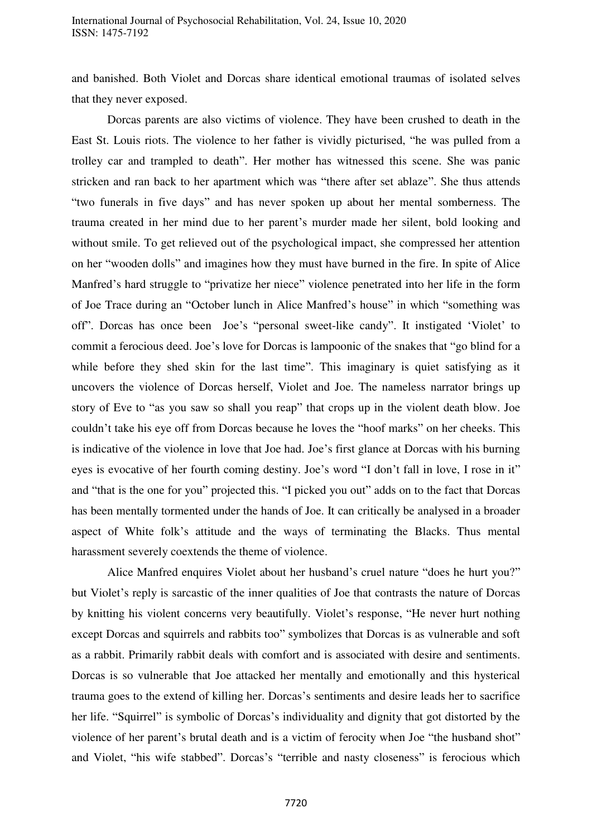and banished. Both Violet and Dorcas share identical emotional traumas of isolated selves that they never exposed.

 Dorcas parents are also victims of violence. They have been crushed to death in the East St. Louis riots. The violence to her father is vividly picturised, "he was pulled from a trolley car and trampled to death". Her mother has witnessed this scene. She was panic stricken and ran back to her apartment which was "there after set ablaze". She thus attends "two funerals in five days" and has never spoken up about her mental somberness. The trauma created in her mind due to her parent's murder made her silent, bold looking and without smile. To get relieved out of the psychological impact, she compressed her attention on her "wooden dolls" and imagines how they must have burned in the fire. In spite of Alice Manfred's hard struggle to "privatize her niece" violence penetrated into her life in the form of Joe Trace during an "October lunch in Alice Manfred's house" in which "something was off". Dorcas has once been Joe's "personal sweet-like candy". It instigated 'Violet' to commit a ferocious deed. Joe's love for Dorcas is lampoonic of the snakes that "go blind for a while before they shed skin for the last time". This imaginary is quiet satisfying as it uncovers the violence of Dorcas herself, Violet and Joe. The nameless narrator brings up story of Eve to "as you saw so shall you reap" that crops up in the violent death blow. Joe couldn't take his eye off from Dorcas because he loves the "hoof marks" on her cheeks. This is indicative of the violence in love that Joe had. Joe's first glance at Dorcas with his burning eyes is evocative of her fourth coming destiny. Joe's word "I don't fall in love, I rose in it" and "that is the one for you" projected this. "I picked you out" adds on to the fact that Dorcas has been mentally tormented under the hands of Joe. It can critically be analysed in a broader aspect of White folk's attitude and the ways of terminating the Blacks. Thus mental harassment severely coextends the theme of violence.

Alice Manfred enquires Violet about her husband's cruel nature "does he hurt you?" but Violet's reply is sarcastic of the inner qualities of Joe that contrasts the nature of Dorcas by knitting his violent concerns very beautifully. Violet's response, "He never hurt nothing except Dorcas and squirrels and rabbits too" symbolizes that Dorcas is as vulnerable and soft as a rabbit. Primarily rabbit deals with comfort and is associated with desire and sentiments. Dorcas is so vulnerable that Joe attacked her mentally and emotionally and this hysterical trauma goes to the extend of killing her. Dorcas's sentiments and desire leads her to sacrifice her life. "Squirrel" is symbolic of Dorcas's individuality and dignity that got distorted by the violence of her parent's brutal death and is a victim of ferocity when Joe "the husband shot" and Violet, "his wife stabbed". Dorcas's "terrible and nasty closeness" is ferocious which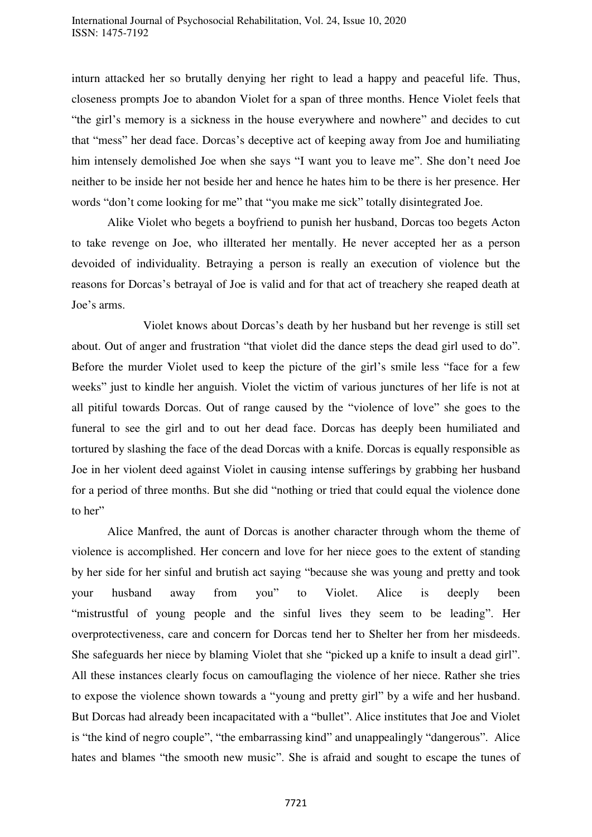inturn attacked her so brutally denying her right to lead a happy and peaceful life. Thus, closeness prompts Joe to abandon Violet for a span of three months. Hence Violet feels that "the girl's memory is a sickness in the house everywhere and nowhere" and decides to cut that "mess" her dead face. Dorcas's deceptive act of keeping away from Joe and humiliating him intensely demolished Joe when she says "I want you to leave me". She don't need Joe neither to be inside her not beside her and hence he hates him to be there is her presence. Her words "don't come looking for me" that "you make me sick" totally disintegrated Joe.

Alike Violet who begets a boyfriend to punish her husband, Dorcas too begets Acton to take revenge on Joe, who illterated her mentally. He never accepted her as a person devoided of individuality. Betraying a person is really an execution of violence but the reasons for Dorcas's betrayal of Joe is valid and for that act of treachery she reaped death at Joe's arms.

 Violet knows about Dorcas's death by her husband but her revenge is still set about. Out of anger and frustration "that violet did the dance steps the dead girl used to do". Before the murder Violet used to keep the picture of the girl's smile less "face for a few weeks" just to kindle her anguish. Violet the victim of various junctures of her life is not at all pitiful towards Dorcas. Out of range caused by the "violence of love" she goes to the funeral to see the girl and to out her dead face. Dorcas has deeply been humiliated and tortured by slashing the face of the dead Dorcas with a knife. Dorcas is equally responsible as Joe in her violent deed against Violet in causing intense sufferings by grabbing her husband for a period of three months. But she did "nothing or tried that could equal the violence done to her"

Alice Manfred, the aunt of Dorcas is another character through whom the theme of violence is accomplished. Her concern and love for her niece goes to the extent of standing by her side for her sinful and brutish act saying "because she was young and pretty and took your husband away from you" to Violet. Alice is deeply been "mistrustful of young people and the sinful lives they seem to be leading". Her overprotectiveness, care and concern for Dorcas tend her to Shelter her from her misdeeds. She safeguards her niece by blaming Violet that she "picked up a knife to insult a dead girl". All these instances clearly focus on camouflaging the violence of her niece. Rather she tries to expose the violence shown towards a "young and pretty girl" by a wife and her husband. But Dorcas had already been incapacitated with a "bullet". Alice institutes that Joe and Violet is "the kind of negro couple", "the embarrassing kind" and unappealingly "dangerous". Alice hates and blames "the smooth new music". She is afraid and sought to escape the tunes of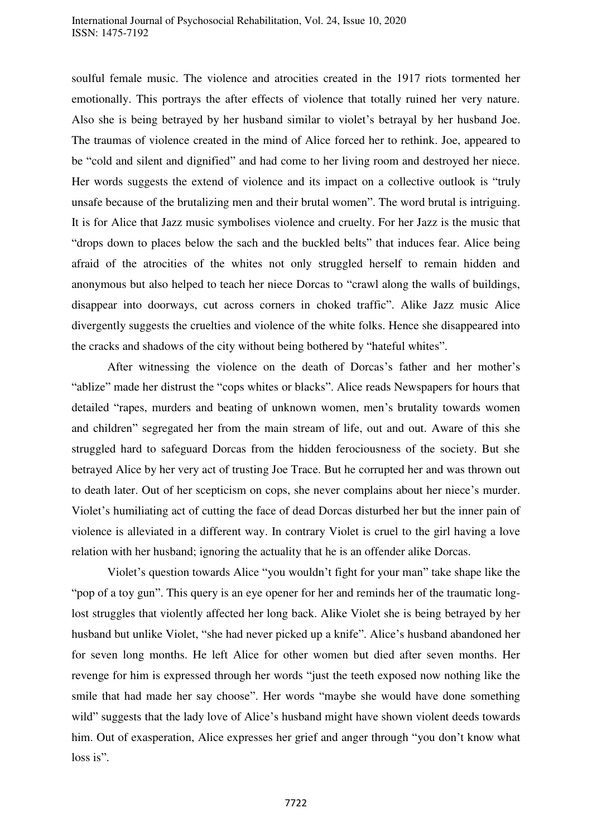soulful female music. The violence and atrocities created in the 1917 riots tormented her emotionally. This portrays the after effects of violence that totally ruined her very nature. Also she is being betrayed by her husband similar to violet's betrayal by her husband Joe. The traumas of violence created in the mind of Alice forced her to rethink. Joe, appeared to be "cold and silent and dignified" and had come to her living room and destroyed her niece. Her words suggests the extend of violence and its impact on a collective outlook is "truly unsafe because of the brutalizing men and their brutal women". The word brutal is intriguing. It is for Alice that Jazz music symbolises violence and cruelty. For her Jazz is the music that "drops down to places below the sach and the buckled belts" that induces fear. Alice being afraid of the atrocities of the whites not only struggled herself to remain hidden and anonymous but also helped to teach her niece Dorcas to "crawl along the walls of buildings, disappear into doorways, cut across corners in choked traffic". Alike Jazz music Alice divergently suggests the cruelties and violence of the white folks. Hence she disappeared into the cracks and shadows of the city without being bothered by "hateful whites".

 After witnessing the violence on the death of Dorcas's father and her mother's "ablize" made her distrust the "cops whites or blacks". Alice reads Newspapers for hours that detailed "rapes, murders and beating of unknown women, men's brutality towards women and children" segregated her from the main stream of life, out and out. Aware of this she struggled hard to safeguard Dorcas from the hidden ferociousness of the society. But she betrayed Alice by her very act of trusting Joe Trace. But he corrupted her and was thrown out to death later. Out of her scepticism on cops, she never complains about her niece's murder. Violet's humiliating act of cutting the face of dead Dorcas disturbed her but the inner pain of violence is alleviated in a different way. In contrary Violet is cruel to the girl having a love relation with her husband; ignoring the actuality that he is an offender alike Dorcas.

 Violet's question towards Alice "you wouldn't fight for your man" take shape like the "pop of a toy gun". This query is an eye opener for her and reminds her of the traumatic longlost struggles that violently affected her long back. Alike Violet she is being betrayed by her husband but unlike Violet, "she had never picked up a knife". Alice's husband abandoned her for seven long months. He left Alice for other women but died after seven months. Her revenge for him is expressed through her words "just the teeth exposed now nothing like the smile that had made her say choose". Her words "maybe she would have done something wild" suggests that the lady love of Alice's husband might have shown violent deeds towards him. Out of exasperation, Alice expresses her grief and anger through "you don't know what loss is".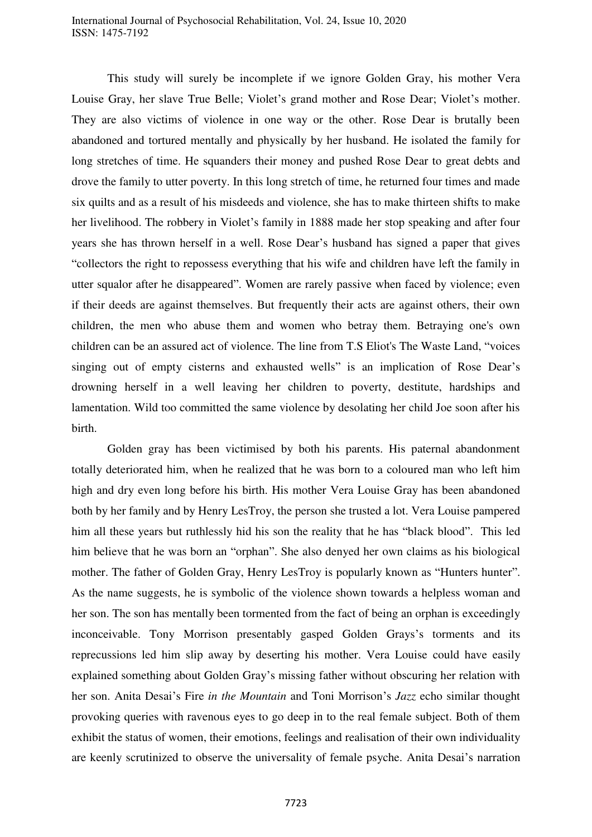This study will surely be incomplete if we ignore Golden Gray, his mother Vera Louise Gray, her slave True Belle; Violet's grand mother and Rose Dear; Violet's mother. They are also victims of violence in one way or the other. Rose Dear is brutally been abandoned and tortured mentally and physically by her husband. He isolated the family for long stretches of time. He squanders their money and pushed Rose Dear to great debts and drove the family to utter poverty. In this long stretch of time, he returned four times and made six quilts and as a result of his misdeeds and violence, she has to make thirteen shifts to make her livelihood. The robbery in Violet's family in 1888 made her stop speaking and after four years she has thrown herself in a well. Rose Dear's husband has signed a paper that gives "collectors the right to repossess everything that his wife and children have left the family in utter squalor after he disappeared". Women are rarely passive when faced by violence; even if their deeds are against themselves. But frequently their acts are against others, their own children, the men who abuse them and women who betray them. Betraying one's own children can be an assured act of violence. The line from T.S Eliot's The Waste Land, "voices singing out of empty cisterns and exhausted wells" is an implication of Rose Dear's drowning herself in a well leaving her children to poverty, destitute, hardships and lamentation. Wild too committed the same violence by desolating her child Joe soon after his birth.

 Golden gray has been victimised by both his parents. His paternal abandonment totally deteriorated him, when he realized that he was born to a coloured man who left him high and dry even long before his birth. His mother Vera Louise Gray has been abandoned both by her family and by Henry LesTroy, the person she trusted a lot. Vera Louise pampered him all these years but ruthlessly hid his son the reality that he has "black blood". This led him believe that he was born an "orphan". She also denyed her own claims as his biological mother. The father of Golden Gray, Henry LesTroy is popularly known as "Hunters hunter". As the name suggests, he is symbolic of the violence shown towards a helpless woman and her son. The son has mentally been tormented from the fact of being an orphan is exceedingly inconceivable. Tony Morrison presentably gasped Golden Grays's torments and its reprecussions led him slip away by deserting his mother. Vera Louise could have easily explained something about Golden Gray's missing father without obscuring her relation with her son. Anita Desai's Fire *in the Mountain* and Toni Morrison's *Jazz* echo similar thought provoking queries with ravenous eyes to go deep in to the real female subject. Both of them exhibit the status of women, their emotions, feelings and realisation of their own individuality are keenly scrutinized to observe the universality of female psyche. Anita Desai's narration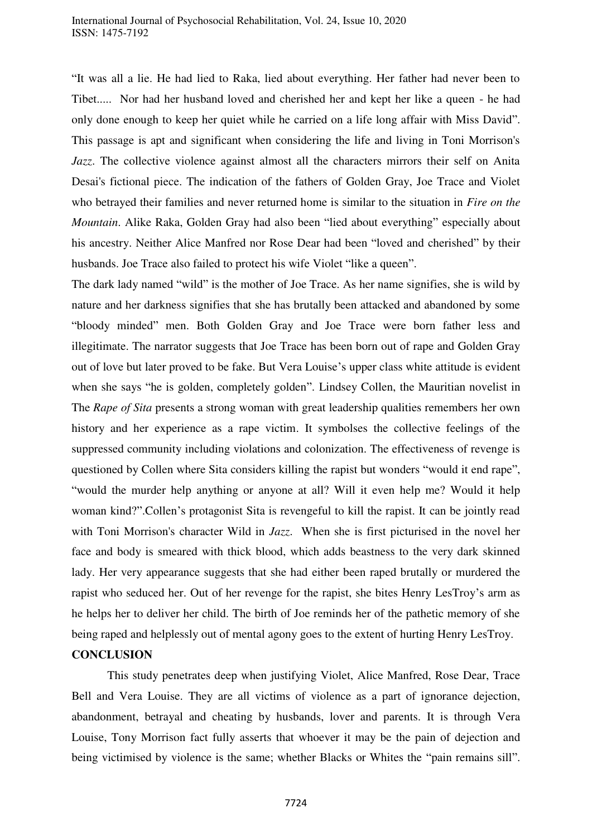#### International Journal of Psychosocial Rehabilitation, Vol. 24, Issue 10, 2020 ISSN: 1475-7192

"It was all a lie. He had lied to Raka, lied about everything. Her father had never been to Tibet..... Nor had her husband loved and cherished her and kept her like a queen - he had only done enough to keep her quiet while he carried on a life long affair with Miss David". This passage is apt and significant when considering the life and living in Toni Morrison's *Jazz*. The collective violence against almost all the characters mirrors their self on Anita Desai's fictional piece. The indication of the fathers of Golden Gray, Joe Trace and Violet who betrayed their families and never returned home is similar to the situation in *Fire on the Mountain*. Alike Raka, Golden Gray had also been "lied about everything" especially about his ancestry. Neither Alice Manfred nor Rose Dear had been "loved and cherished" by their husbands. Joe Trace also failed to protect his wife Violet "like a queen".

The dark lady named "wild" is the mother of Joe Trace. As her name signifies, she is wild by nature and her darkness signifies that she has brutally been attacked and abandoned by some "bloody minded" men. Both Golden Gray and Joe Trace were born father less and illegitimate. The narrator suggests that Joe Trace has been born out of rape and Golden Gray out of love but later proved to be fake. But Vera Louise's upper class white attitude is evident when she says "he is golden, completely golden". Lindsey Collen, the Mauritian novelist in The *Rape of Sita* presents a strong woman with great leadership qualities remembers her own history and her experience as a rape victim. It symbolses the collective feelings of the suppressed community including violations and colonization. The effectiveness of revenge is questioned by Collen where Sita considers killing the rapist but wonders "would it end rape", "would the murder help anything or anyone at all? Will it even help me? Would it help woman kind?".Collen's protagonist Sita is revengeful to kill the rapist. It can be jointly read with Toni Morrison's character Wild in *Jazz*. When she is first picturised in the novel her face and body is smeared with thick blood, which adds beastness to the very dark skinned lady. Her very appearance suggests that she had either been raped brutally or murdered the rapist who seduced her. Out of her revenge for the rapist, she bites Henry LesTroy's arm as he helps her to deliver her child. The birth of Joe reminds her of the pathetic memory of she being raped and helplessly out of mental agony goes to the extent of hurting Henry LesTroy.

## **CONCLUSION**

 This study penetrates deep when justifying Violet, Alice Manfred, Rose Dear, Trace Bell and Vera Louise. They are all victims of violence as a part of ignorance dejection, abandonment, betrayal and cheating by husbands, lover and parents. It is through Vera Louise, Tony Morrison fact fully asserts that whoever it may be the pain of dejection and being victimised by violence is the same; whether Blacks or Whites the "pain remains sill".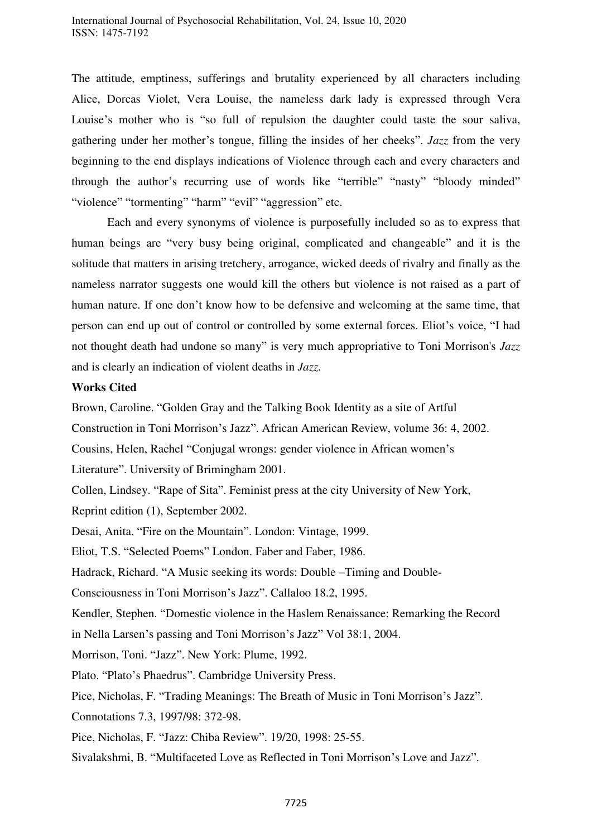The attitude, emptiness, sufferings and brutality experienced by all characters including Alice, Dorcas Violet, Vera Louise, the nameless dark lady is expressed through Vera Louise's mother who is "so full of repulsion the daughter could taste the sour saliva, gathering under her mother's tongue, filling the insides of her cheeks". *Jazz* from the very beginning to the end displays indications of Violence through each and every characters and through the author's recurring use of words like "terrible" "nasty" "bloody minded" "violence" "tormenting" "harm" "evil" "aggression" etc.

 Each and every synonyms of violence is purposefully included so as to express that human beings are "very busy being original, complicated and changeable" and it is the solitude that matters in arising tretchery, arrogance, wicked deeds of rivalry and finally as the nameless narrator suggests one would kill the others but violence is not raised as a part of human nature. If one don't know how to be defensive and welcoming at the same time, that person can end up out of control or controlled by some external forces. Eliot's voice, "I had not thought death had undone so many" is very much appropriative to Toni Morrison's *Jazz* and is clearly an indication of violent deaths in *Jazz.* 

## **Works Cited**

Brown, Caroline. "Golden Gray and the Talking Book Identity as a site of Artful

Construction in Toni Morrison's Jazz". African American Review, volume 36: 4, 2002.

Cousins, Helen, Rachel "Conjugal wrongs: gender violence in African women's

Literature". University of Brimingham 2001.

Collen, Lindsey. "Rape of Sita". Feminist press at the city University of New York,

Reprint edition (1), September 2002.

Desai, Anita. "Fire on the Mountain". London: Vintage, 1999.

Eliot, T.S. "Selected Poems" London. Faber and Faber, 1986.

Hadrack, Richard. "A Music seeking its words: Double –Timing and Double-

Consciousness in Toni Morrison's Jazz". Callaloo 18.2, 1995.

Kendler, Stephen. "Domestic violence in the Haslem Renaissance: Remarking the Record

in Nella Larsen's passing and Toni Morrison's Jazz" Vol 38:1, 2004.

Morrison, Toni. "Jazz". New York: Plume, 1992.

Plato. "Plato's Phaedrus". Cambridge University Press.

Pice, Nicholas, F. "Trading Meanings: The Breath of Music in Toni Morrison's Jazz".

Connotations 7.3, 1997/98: 372-98.

Pice, Nicholas, F. "Jazz: Chiba Review". 19/20, 1998: 25-55.

Sivalakshmi, B. "Multifaceted Love as Reflected in Toni Morrison's Love and Jazz".